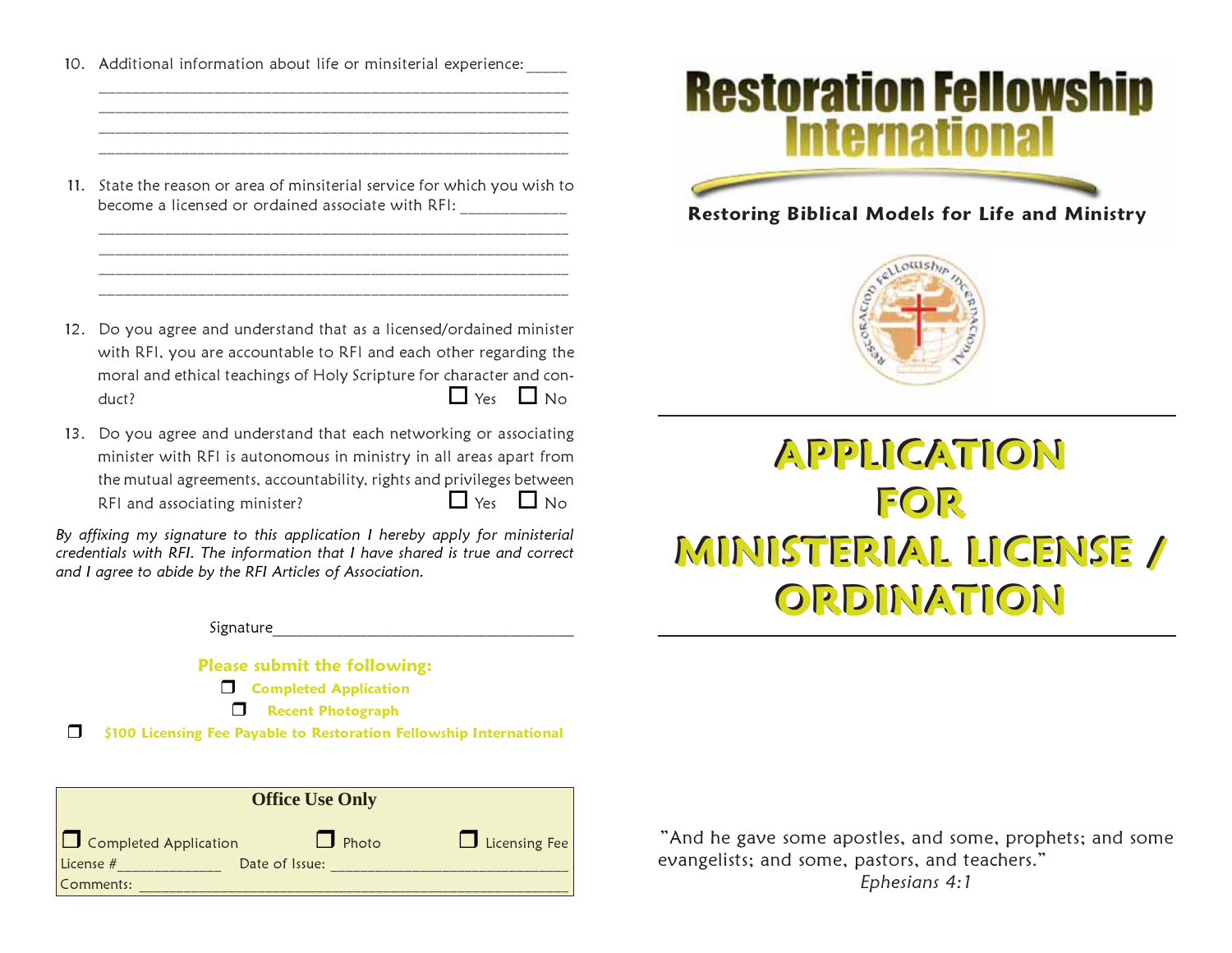10. Additional information about life or minsiterial experience:

11. State the reason or area of minsiterial service for which you wish to become a licensed or ordained associate with RFI:

 $\mathcal{L}_\text{max}$  and the contract of the contract of the contract of the contract of the contract of the contract of \_\_\_\_\_\_\_\_\_\_\_\_\_\_\_\_\_\_\_\_\_\_\_\_\_\_\_\_\_\_\_\_\_\_\_\_\_\_\_\_\_\_\_\_\_\_\_\_\_\_\_\_\_\_\_\_\_

 $\mathcal{L}_\text{max}$  and the contract of the contract of the contract of the contract of the contract of the contract of

\_\_\_\_\_\_\_\_\_\_\_\_\_\_\_\_\_\_\_\_\_\_\_\_\_\_\_\_\_\_\_\_\_\_\_\_\_\_\_\_\_\_\_\_\_\_\_\_\_\_\_\_\_\_\_\_\_

 $\mathcal{L}_\text{max}$  and the contract of the contract of the contract of the contract of the contract of the contract of \_\_\_\_\_\_\_\_\_\_\_\_\_\_\_\_\_\_\_\_\_\_\_\_\_\_\_\_\_\_\_\_\_\_\_\_\_\_\_\_\_\_\_\_\_\_\_\_\_\_\_\_\_\_\_\_\_

- 12. Do you agree and understand that as a licensed/ordained minister with RFI, you are accountable to RFI and each other regarding the moral and ethical teachings of Holy Scripture for character and con $duct?$   $\Box$  Yes  $\Box$  No
- 13. Do you agree and understand that each networking or associating minister with RFI is autonomous in ministry in all areas apart from the mutual agreements, accountability, rights and privileges between RFI and associating minister?  $\Box$  Yes  $\Box$  No

By affixing my signature to this application I hereby apply for ministerial credentials with RFI. The information that I have shared is true and correct and I agree to abide by the RFI Articles of Association.

Signature

Please submit the following:

**Completed Application** 

**Necent Photograph** 

□ \$100 Licensing Fee Payable to Restoration Fellowship International

| <b>Office Use Only</b>                    |                         |                      |
|-------------------------------------------|-------------------------|----------------------|
| $\Box$ Completed Application<br>License # | Photo<br>Date of Issue: | $\Box$ Licensing Fee |
| Comments:                                 |                         |                      |



## Restoring Biblical Models for Life and Ministry



## APPLICATION APPLICATION FOR FOR MINISTERIAL LICENSE / MINISTERIAL LICENSE / ORDINATION ORDINATION

"And he gave some apostles, and some, prophets; and some evangelists; and some, pastors, and teachers."

Ephesians 4:1